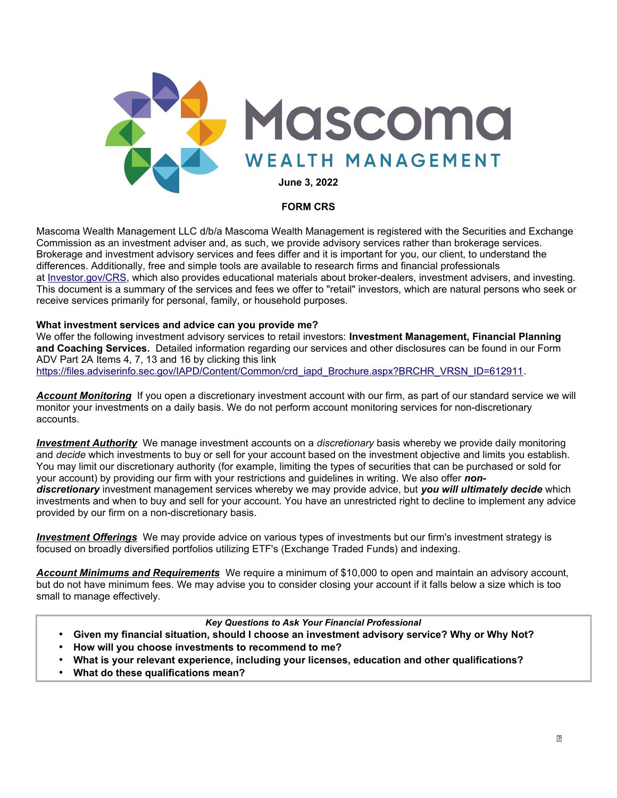

## **FORM CRS**

Mascoma Wealth Management LLC d/b/a Mascoma Wealth Management is registered with the Securities and Exchange Commission as an investment adviser and, as such, we provide advisory services rather than brokerage services. Brokerage and investment advisory services and fees differ and it is important for you, our client, to understand the differences. Additionally, free and simple tools are available to research firms and financial professionals at Investor.gov/CRS, which also provides educational materials about broker-dealers, investment advisers, and investing. This document is a summary of the services and fees we offer to "retail" investors, which are natural persons who seek or receive services primarily for personal, family, or household purposes.

#### **What investment services and advice can you provide me?**

We offer the following investment advisory services to retail investors: **Investment Management, Financial Planning and Coaching Services.** Detailed information regarding our services and other disclosures can be found in our Form ADV Part 2A Items 4, 7, 13 and 16 by clicking this link https://files.adviserinfo.sec.gov/IAPD/Content/Common/crd\_iapd\_Brochure.aspx?BRCHR\_VRSN\_ID=612911.

*Account Monitoring* If you open a discretionary investment account with our firm, as part of our standard service we will monitor your investments on a daily basis. We do not perform account monitoring services for non-discretionary accounts.

*Investment Authority* We manage investment accounts on a *discretionary* basis whereby we provide daily monitoring and *decide* which investments to buy or sell for your account based on the investment objective and limits you establish. You may limit our discretionary authority (for example, limiting the types of securities that can be purchased or sold for your account) by providing our firm with your restrictions and guidelines in writing. We also offer *nondiscretionary* investment management services whereby we may provide advice, but *you will ultimately decide* which investments and when to buy and sell for your account. You have an unrestricted right to decline to implement any advice provided by our firm on a non-discretionary basis.

 *Investment Offerings* We may provide advice on various types of investments but our firm's investment strategy is focused on broadly diversified portfolios utilizing ETF's (Exchange Traded Funds) and indexing.

*Account Minimums and Requirements* We require a minimum of \$10,000 to open and maintain an advisory account, but do not have minimum fees. We may advise you to consider closing your account if it falls below a size which is too small to manage effectively.

#### *Key Questions to Ask Your Financial Professional*

- **Given my financial situation, should I choose an investment advisory service? Why or Why Not?**
- **How will you choose investments to recommend to me?**
- **What is your relevant experience, including your licenses, education and other qualifications?**
- **What do these qualifications mean?**